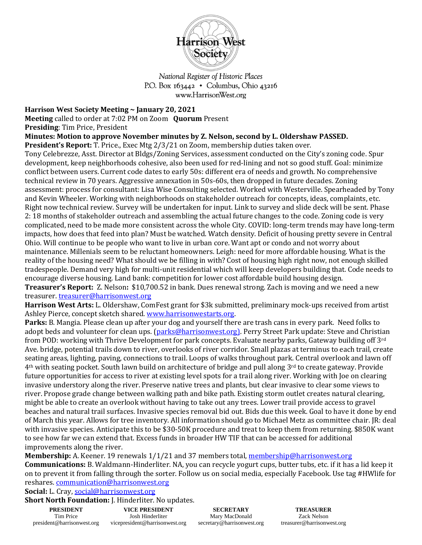

National Register of Historic Places P.O. Box  $163442 \cdot$  Columbus, Ohio 43216 www.HarrisonWest.org

## **Harrison West Society Meeting ~ January 20, 2021**

**Meeting** called to order at 7:02 PM on Zoom **Quorum** Present

**Presiding**: Tim Price, President

**Minutes: Motion to approve November minutes by Z. Nelson, second by L. Oldershaw PASSED.** 

**President's Report:** T. Price., Exec Mtg 2/3/21 on Zoom, membership duties taken over.

Tony Celebrezze, Asst. Director at Bldgs/Zoning Services, assessment conducted on the City's zoning code. Spur development, keep neighborhoods cohesive, also been used for red-lining and not so good stuff. Goal: minimize conflict between users. Current code dates to early 50s: different era of needs and growth. No comprehensive technical review in 70 years. Aggressive annexation in 50s-60s, then dropped in future decades. Zoning assessment: process for consultant: Lisa Wise Consulting selected. Worked with Westerville. Spearheaded by Tony and Kevin Wheeler. Working with neighborhoods on stakeholder outreach for concepts, ideas, complaints, etc. Right now technical review. Survey will be undertaken for input. Link to survey and slide deck will be sent. Phase 2: 18 months of stakeholder outreach and assembling the actual future changes to the code. Zoning code is very complicated, need to be made more consistent across the whole City. COVID: long-term trends may have long-term impacts, how does that feed into plan? Must be watched. Watch density. Deficit of housing pretty severe in Central Ohio. Will continue to be people who want to live in urban core. Want apt or condo and not worry about maintenance. Millenials seem to be reluctant homeowners. Leigh: need for more affordable housing. What is the reality of the housing need? What should we be filling in with? Cost of housing high right now, not enough skilled tradespeople. Demand very high for multi-unit residential which will keep developers building that. Code needs to encourage diverse housing. Land bank: competition for lower cost affordable build housing design.

**Treasurer's Report:** Z. Nelson**:** \$10,700.52 in bank. Dues renewal strong. Zach is moving and we need a new treasurer. [treasurer@harrisonwest.org](mailto:treasurer@harrisonwest.org)

**Harrison West Arts:** L. Oldershaw, ComFest grant for \$3k submitted, preliminary mock-ups received from artist Ashley Pierce, concept sketch shared. [www.harrisonwestarts.org.](http://www.harrisonwestarts.org/)

**Parks:** B. Mangia. Please clean up after your dog and yourself there are trash cans in every park. Need folks to adopt beds and volunteer for clean ups. [\(parks@harrisonwest.org\)](mailto:parks@harrisonwest.org). Perry Street Park update: Steve and Christian from POD: working with Thrive Development for park concepts. Evaluate nearby parks, Gateway building off 3rd Ave. bridge, potential trails down to river, overlooks of river corridor. Small plazas at terminus to each trail, create seating areas, lighting, paving, connections to trail. Loops of walks throughout park. Central overlook and lawn off 4th with seating pocket. South lawn build on architecture of bridge and pull along 3rd to create gateway. Provide future opportunities for access to river at existing level spots for a trail along river. Working with Joe on clearing invasive understory along the river. Preserve native trees and plants, but clear invasive to clear some views to river. Propose grade change between walking path and bike path. Existing storm outlet creates natural clearing, might be able to create an overlook without having to take out any trees. Lower trail provide access to gravel beaches and natural trail surfaces. Invasive species removal bid out. Bids due this week. Goal to have it done by end of March this year. Allows for tree inventory. All information should go to Michael Metz as committee chair. JR: deal with invasive species. Anticipate this to be \$30-50K procedure and treat to keep them from returning. \$850K want to see how far we can extend that. Excess funds in broader HW TIF that can be accessed for additional improvements along the river.

Membership: A. Keener. 19 renewals 1/1/21 and 37 members total[, membership@harrisonwest.org](mailto:membership@harrisonwest.org)

**Communications:** B. Waldmann-Hinderliter. NA, you can recycle yogurt cups, butter tubs, etc. if it has a lid keep it on to prevent it from falling through the sorter. Follow us on social media, especially Facebook. Use tag #HWlife for reshares[. communication@harrisonwest.org](mailto:communication@harrisonwest.org)

## **Social:** L. Cray, [social@harrisonwest.org](mailto:social@harrisonwest.org)

**Short North Foundation:** J. Hinderliter. No updates.

| <b>PRESIDENT</b>           |  |
|----------------------------|--|
| Tim Price                  |  |
| president@harrisonwest.org |  |

**SECRETARY** Mary MacDonald secretary@harrisonwest.org

**TREASURER** Zack Nelson treasurer@harrisonwest.org